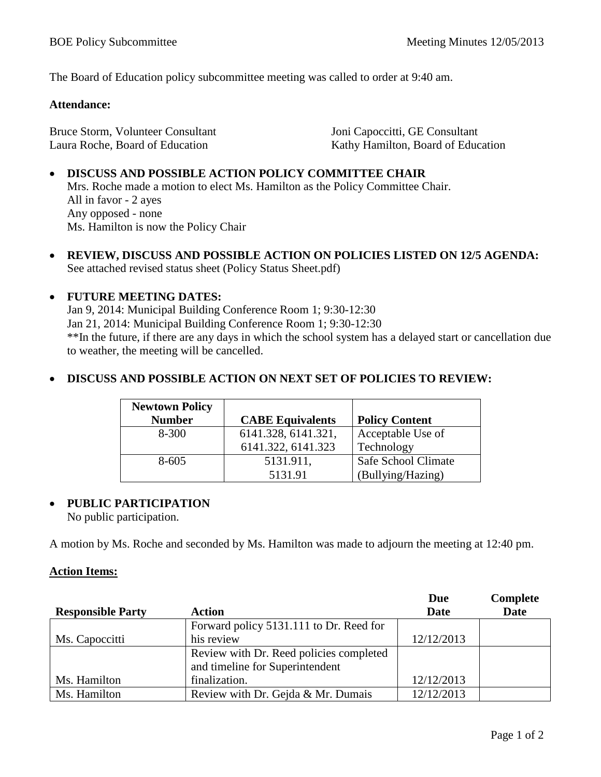The Board of Education policy subcommittee meeting was called to order at 9:40 am.

#### **Attendance:**

Bruce Storm, Volunteer Consultant Laura Roche, Board of Education

Joni Capoccitti, GE Consultant Kathy Hamilton, Board of Education

# • **DISCUSS AND POSSIBLE ACTION POLICY COMMITTEE CHAIR**

Mrs. Roche made a motion to elect Ms. Hamilton as the Policy Committee Chair. All in favor - 2 ayes Any opposed - none Ms. Hamilton is now the Policy Chair

• **REVIEW, DISCUSS AND POSSIBLE ACTION ON POLICIES LISTED ON 12/5 AGENDA:**  See attached revised status sheet (Policy Status Sheet.pdf)

### • **FUTURE MEETING DATES:**

Jan 9, 2014: Municipal Building Conference Room 1; 9:30-12:30 Jan 21, 2014: Municipal Building Conference Room 1; 9:30-12:30 \*\*In the future, if there are any days in which the school system has a delayed start or cancellation due to weather, the meeting will be cancelled.

### • **DISCUSS AND POSSIBLE ACTION ON NEXT SET OF POLICIES TO REVIEW:**

| <b>Newtown Policy</b> |                         |                       |
|-----------------------|-------------------------|-----------------------|
| <b>Number</b>         | <b>CABE Equivalents</b> | <b>Policy Content</b> |
| 8-300                 | 6141.328, 6141.321,     | Acceptable Use of     |
|                       | 6141.322, 6141.323      | Technology            |
| $8 - 605$             | 5131.911,               | Safe School Climate   |
|                       | 5131.91                 | (Bullying/Hazing)     |

## • **PUBLIC PARTICIPATION**

No public participation.

A motion by Ms. Roche and seconded by Ms. Hamilton was made to adjourn the meeting at 12:40 pm.

#### **Action Items:**

|                          |                                         | <b>Due</b>  | Complete    |
|--------------------------|-----------------------------------------|-------------|-------------|
| <b>Responsible Party</b> | <b>Action</b>                           | <b>Date</b> | <b>Date</b> |
|                          | Forward policy 5131.111 to Dr. Reed for |             |             |
| Ms. Capoccitti           | his review                              | 12/12/2013  |             |
|                          | Review with Dr. Reed policies completed |             |             |
|                          | and timeline for Superintendent         |             |             |
| Ms. Hamilton             | finalization.                           | 12/12/2013  |             |
| Ms. Hamilton             | Review with Dr. Gejda & Mr. Dumais      | 12/12/2013  |             |